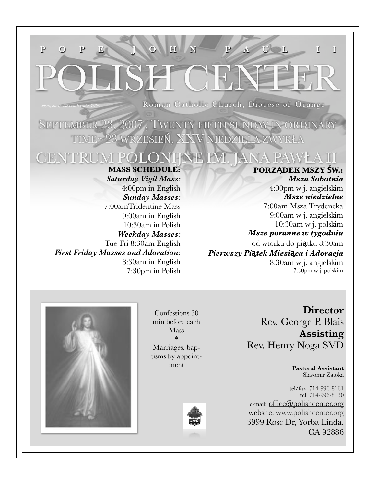# **P O P E J O H N P A U L I I**

*by the polish center 2006* Roman Catholic Church, Diocese of Orange

SEPTEMBER 23, 2007 , TWENTY FIFTH SUNDAY IN ORDINARY 23 WRZESIEŃ, XXV NIEDZIELA ZWYKŁA

# CENTRUM POLONIJNE IM. JANA PAWŁA II **MASS SCHEDULE:**

*Saturday Vigil Mass:* 4:00pm in English *Sunday Masses:* 7:00amTridentine Mass 9:00am in English 10:30am in Polish *Weekday Masses:* Tue-Fri 8:30am English *First Friday Masses and Adoration:* 8:30am in English 7:30pm in Polish

# **PORZĄDEK MSZY ŚW.:** *Msza Sobotnia*

4:00pm w j. angielskim *Msze niedzielne* 7:00am Msza Trydencka 9:00am w j. angielskim 10:30am w j. polskim *Msze poranne w tygodniu* od wtorku do piątku 8:30am

*Pierwszy Pi***#***tek Miesi***#***ca i Adoracja* 8:30am w j. angielskim 7:30pm w j. polskim



Confessions 30 min before each Mass \* Marriages, bap-

tisms by appointment



**Director** Rev. George P. Blais **Assisting** Rev. Henry Noga SVD

> **Pastoral Assistant** Slavomir Zatoka

tel/fax: 714-996-8161 tel. 714-996-8130 e-mail: [office@polishcenter.org](mailto:office@polishcenter.org) website: [www.polishcenter.org](http://www.polishcenter.org) [3999 Rose Dr, Yorba Linda,](http://www.polishcenter.org) [CA 92886](http://www.polishcenter.org)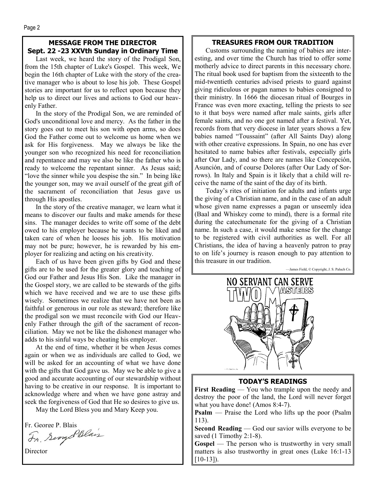# **MESSAGE FROM THE DIRECTOR Sept. 22 -23 XXVth Sunday in Ordinary Time**

Last week, we heard the story of the Prodigal Son, from the 15th chapter of Luke's Gospel. This week, We begin the 16th chapter of Luke with the story of the creative manager who is about to lose his job. These Gospel stories are important for us to reflect upon because they help us to direct our lives and actions to God our heavenly Father.

In the story of the Prodigal Son, we are reminded of God's unconditional love and mercy. As the father in the story goes out to meet his son with open arms, so does God the Father come out to welcome us home when we ask for His forgiveness. May we always be like the younger son who recognized his need for reconciliation and repentance and may we also be like the father who is ready to welcome the repentant sinner. As Jesus said; "love the sinner while you despise the sin." In being like the younger son, may we avail ourself of the great gift of the sacrament of reconciliation that Jesus gave us through His apostles.

In the story of the creative manager, we learn what it means to discover our faults and make amends for these sins. The manager decides to write off some of the debt owed to his employer because he wants to be liked and taken care of when he looses his job. His motivation may not be pure; however, he is rewarded by his employer for realizing and acting on his creativity.

Each of us have been given gifts by God and these gifts are to be used for the greater glory and teaching of God our Father and Jesus His Son. Like the manager in the Gospel story, we are called to be stewards of the gifts which we have received and we are to use these gifts wisely. Sometimes we realize that we have not been as faithful or generous in our role as steward; therefore like the prodigal son we must reconcile with God our Heavenly Father through the gift of the sacrament of reconciliation. May we not be like the dishonest manager who adds to his sinful ways be cheating his employer.

At the end of time, whether it be when Jesus comes again or when we as individuals are called to God, we will be asked for an accounting of what we have done with the gifts that God gave us. May we be able to give a good and accurate accounting of our stewardship without having to be creative in our response. It is important to acknowledge where and when we have gone astray and seek the forgiveness of God that He so desires to give us.

May the Lord Bless you and Mary Keep you.

Fr. George P. Blais<br>Fr. Scongel Blais

**TREASURES FROM OUR TRADITION** 

Customs surrounding the naming of babies are interesting, and over time the Church has tried to offer some motherly advice to direct parents in this necessary chore. The ritual book used for baptism from the sixteenth to the mid-twentieth centuries advised priests to guard against giving ridiculous or pagan names to babies consigned to their ministry. In 1666 the diocesan ritual of Bourges in France was even more exacting, telling the priests to see to it that boys were named after male saints, girls after female saints, and no one got named after a festival. Yet, records from that very diocese in later years shows a few babies named "Toussaint" (after All Saints Day) along with other creative expressions. In Spain, no one has ever hesitated to name babies after festivals, especially girls after Our Lady, and so there are names like Concepción, Asunción, and of course Dolores (after Our Lady of Sorrows). In Italy and Spain is it likely that a child will receive the name of the saint of the day of its birth.

Today's rites of initiation for adults and infants urge the giving of a Christian name, and in the case of an adult whose given name expresses a pagan or unseemly idea (Baal and Whiskey come to mind), there is a formal rite during the catechumenate for the giving of a Christian name. In such a case, it would make sense for the change to be registered with civil authorities as well. For all Christians, the idea of having a heavenly patron to pray to on life's journey is reason enough to pay attention to this treasure in our tradition.

—James Field, © Copyright, J. S. Paluch Co.



# **TODAY'S READINGS**

**First Reading** — You who trample upon the needy and destroy the poor of the land, the Lord will never forget what you have done! (Amos 8:4-7).

**Psalm** — Praise the Lord who lifts up the poor (Psalm 113).

**Second Reading** — God our savior wills everyone to be saved (1 Timothy 2:1-8).

**Gospel** — The person who is trustworthy in very small matters is also trustworthy in great ones (Luke 16:1-13  $[10-13]$ .

**Director**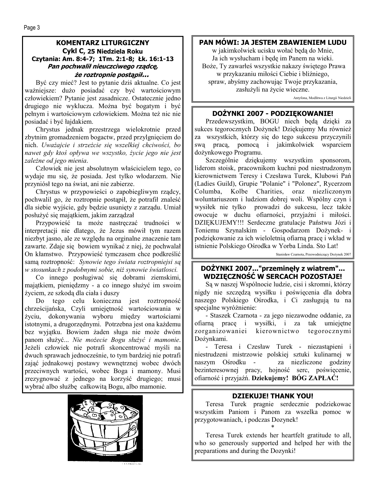### **KOMENTARZ LITURGICZNY Cykl C, 25 Niedziela Roku Czytania: Am. 8:4-7; 1Tm. 2:1-8; Łk. 16:1-13 Pan pochwalił nieuczciwego rządcę, że roztropnie postąpił...**

Być czy mieć? Jest to pytanie dziś aktualne. Co jest ważniejsze: dużo posiadać czy być wartościowym człowiekiem? Pytanie jest zasadnicze. Ostatecznie jedno drugiego nie wyklucza. Można być bogatym i być pełnym i wartościowym człowiekiem. Można też nic nie posiadać i być łajdakiem.

Chrystus jednak przestrzega wielokrotnie przed zbytnim gromadzeniem bogactw, przed przylgnięciem do nich. *Uważajcie i strzeżcie się wszelkiej chciwości, bo nawet gdy ktoś opływa we wszystko, życie jego nie jest zależne od jego mienia*.

Człowiek nie jest absolutnym właścicielem tego, co wydaje mu się, że posiada. Jest tylko włodarzem. Nie przyniósł tego na świat, ani nie zabierze.

Chrystus w przypowieści o zapobiegliwym rządcy, pochwalil go, że roztropnie postąpił, że potrafił znaleść dla siebie wyjście, gdy będzie usunięty z zarządu. Umiał posłużyć się majątkiem, jakim zarządzał

Przypowieść ta może nastręczać trudności w interpretacji nie dlatego, że Jezus mówił tym razem niezbyt jasno, ale ze względu na orginalne znaczenie tam zawarte. Zdaje się bowiem wynikać z niej, że pochwalał On kłamstwo. Przypowieść tymczasem chce podkreślić samą roztropność: *Synowie tego świata roztropniejsi są w stosunkach z podobnymi sobie, niż synowie światlosci.*

Co innego posługiwać się dobrami ziemskimi, majątkiem, pieniędzmy - a co innego służyć im swoim życiem, ze szkodą dla ciała i duszy

Do tego celu konieczna jest roztropność chrześcijańska, Czyli umiejętność wartościowania w życiu, dokonywania wyboru między wartościami istotnymi, a drugorzędnymi. Potrzebna jest ona każdemu bez wyjątku. Bowiem żaden sługa nie może dwóm panom służyć... *Nie możecie Bogu służyć i mamonie*. Jeżeli człowiek nie potrafi skoncentrować myśli na dwuch sprawach jednocześnie, to tym bardziej nie potrafi zająć jednakowej postawy wewnętrznej wobec dwóch przeciwnych wartości, wobec Boga i mamony. Musi zrezygnować z jednego na korzyść drugiego; musi wybrać albo służbę całkowitą Bogu, albo mamonie.



# **PAN MÓWI: JA JESTEM ZBAWIENIEM LUDU**

w jakimkolwiek ucisku wołać będą do Mnie, Ja ich wysłucham i będę im Panem na wieki. Boże, Ty zawarłeś wszystkie nakazy świętego Prawa w przykazaniu miłości Ciebie i bliźniego, spraw, abyśmy zachowując Twoje przykazania, zasłużyli na życie wieczne.

Antyfona, Modlitwa z Liturgii Niedzieli

### **DOŻYNKI 2007 - PODZIĘKOWANIE!**

Przedewszystkim, BOGU niech będą dzięki za sukces tegorocznych Dożynek! Dziękujemy Mu również za wszystkich, którzy się do tego sukcesu przyczynili swą pracą, pomocą i jakimkolwiek wsparciem dożynkowego Programu.

Szczególnie dziękujemy wszystkim sponsorom, liderom stoisk, pracownikom kuchni pod niestrudzonym kierownictwem Teresy i Czesława Turek, Klubowi Pań (Ladies Guild), Grupie "Polanie" i "Polonez", Rycerzom Columba, Kolbe Charities, oraz niezliczonym woluntariuszom i ludziom dobrej woli. Wspólny czyn i wysiłek nie tylko prowadzi do sukcesu, lecz także owocuje w duchu ofiarności, przyjaźni i miłości. DZIĘKUJEMY!!! Serdeczne gratulacje Państwu Józi i Toniemu Szynalskim - Gospodarzom Dożynek- i podziękowanie za ich wieloletnią ofiarną pracę i wkład w istnienie Polskiego Ośrodka w Yorba Linda. Sto Lat!

Stanisław Czarnota, Przewodniczący Dożynek 2007

# **DOŻYNKI 2007..."przeminęły z wiatrem"... WDZIĘCZNOŚĆ W SERCACH POZOSTAJE!**

Są w naszej Wspólnocie ludzie, cisi i skromni, którzy nigdy nie szczędzą wysiłku i poświęcenia dla dobra naszego Polskiego Ośrodka, i Ci zasługują tu na specjalne wyróżnienie:

- Staszek Czarnota - za jego niezawodne oddanie, za ofiarną pracę i wysiłki, i za tak umiejętne zorganizowaniei kierownictwo tegorocznymi Dożynkami.

- Teresa i Czesław Turek - niezastąpieni i niestrudzeni mistrzowie polskiej sztuki kulinarnej w naszym Ośrodku - za niezliczone godziny bezinteresownej pracy, hojność serc, poświęcenie, ofiarność i przyjaźń. **Dziekujemy! BÓG ZAPŁAĆ!** 

# **DZIEKUJE! THANK YOU!**

Teresa Turek pragnie serdecznie podziekowac wszystkim Paniom i Panom za wszelka pomoc w przygotowaniach, i podczas Dozynek!

\*

Teresa Turek extends her heartfelt gratitude to all, who so generously supported and helped her with the preparations and during the Dozynki!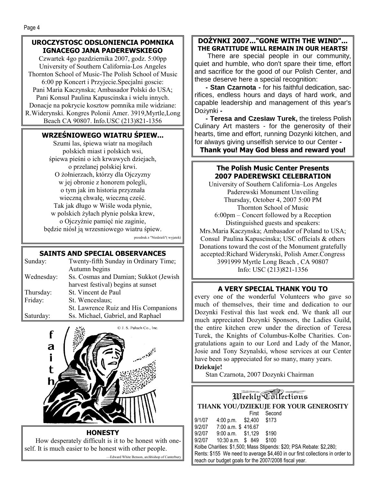# **UROCZYSTOSC ODSLONIENCIA POMNIKA IGNACEGO JANA PADEREWSKIEGO**

Czwartek 4go pazdziernika 2007, godz. 5:00pp University of Southern California-Los Angeles Thornton School of Music-The Polish School of Music 6:00 pp Koncert i Przyjecie.Specjalni goscie: Pani Maria Kaczynska; Ambasador Polski do USA; Pani Konsul Paulina Kapuscinska i wielu innych. Donacje na pokrycie kosztow pomnika mile widziane: R.Widerynski. Kongres Polonii Amer. 3919,Myrtle,Long Beach CA 90807. Info.USC (213)821-1356

# **WRZEŚNIOWEGO WIATRU ŚPIEW...**

Szumi las, śpiewa wiatr na mogiłach polskich miast i polskich wsi, śpiewa pieśni o ich krwawych dziejach, o przelanej polskiej krwi. O żołnierzach, którzy dla Ojczyzny w jej obronie z honorem polegli, o tym jak im historia przyznała wieczną chwałę, wieczną cześć. Tak jak długo w Wiśle woda płynie, w polskich żyłach płynie polska krew, o Ojczyźnie pamięć nie zaginie, będzie niósł ją wrzesniowego wiatru śpiew.

przedruk z "Niedzieli"( wyjatek)

# **SAINTS AND SPECIAL OBSERVANCES**

| Sunday:    | Twenty-fifth Sunday in Ordinary Time; |
|------------|---------------------------------------|
|            | Autumn begins                         |
| Wednesday: | Ss. Cosmas and Damian; Sukkot (Jewish |
|            | harvest festival) begins at sunset    |
| Thursday:  | St. Vincent de Paul                   |
| Friday:    | St. Wenceslaus:                       |
|            | St. Lawrence Ruiz and His Companions  |
| Saturday:  | Ss. Michael, Gabriel, and Raphael     |



**HONESTY** 

How desperately difficult is it to be honest with oneself. It is much easier to be honest with other people. —Edward White Benson, archbishop of Canterbury

# **DOŻYNKI 2007..."GONE WITH THE WIND"... THE GRATITUDE WILL REMAIN IN OUR HEARTS!**

 There are special people in our community, quiet and humble, who don't spare their time, effort and sacrifice for the good of our Polish Center, and these deserve here a special recognition:

**- Stan Czarnota -** for his faithful dedication, sacrifices, endless hours and days of hard work, and capable leadership and management of this year's Dożynki **-** 

**- Teresa and Czesław Turek,** the tireless Polish Culinary Art masters - for the generosity of their hearts, time and effort, running Dozynki kitchen, and for always giving unselfish service to our Center **-** 

**Thank you! May God bless and reward you!** 

# **The Polish Music Center Presents 2007 PADEREWSKI CELEBRATION**

University of Southern California–Los Angeles Paderewski Monument Unveiling Thursday, October 4, 2007 5:00 PM Thornton School of Music 6:00pm – Concert followed by a Reception Distinguished guests and speakers: Mrs.Maria Kaczynska; Ambasador of Poland to USA; Consul Paulina Kapuscinska; USC officials & others Donations toward the cost of the Monument gratefully accepted:Richard Widerynski, Polish Amer.Congress 3991999 Myrtle Long Beach , CA 90807 Info: USC (213)821-1356

# **A VERY SPECIAL THANK YOU TO**

every one of the wonderful Volunteers who gave so much of themselves, their time and dedication to our Dozynki Festival this last week end. We thank all our much appreciated Dozynki Sponsors, the Ladies Guild, the entire kitchen crew under the direction of Teresa Turek, the Knights of Columbus-Kolbe Charities. Congratulations again to our Lord and Lady of the Manor, Josie and Tony Szynalski, whose services at our Center have been so appreciated for so many, many years.

# **Dziekuje!**

Stan Czarnota, 2007 Dozynki Chairman